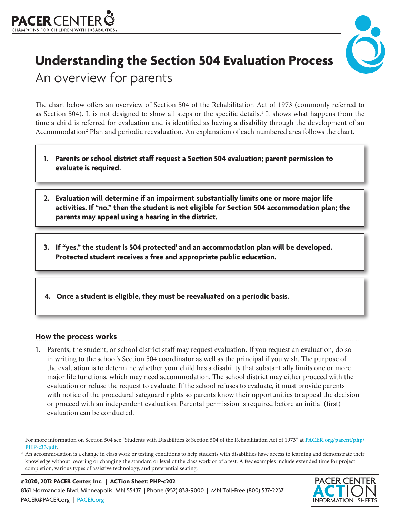



## **Understanding the Section 504 Evaluation Process** An overview for parents

The chart below offers an overview of Section 504 of the Rehabilitation Act of 1973 (commonly referred to as Section 504). It is not designed to show all steps or the specific details.<sup>1</sup> It shows what happens from the time a child is referred for evaluation and is identified as having a disability through the development of an Accommodation<sup>2</sup> Plan and periodic reevaluation. An explanation of each numbered area follows the chart.

- **1. Parents or school district staff request a Section 504 evaluation; parent permission to evaluate is required.**
- **2. Evaluation will determine if an impairment substantially limits one or more major life activities. If "no," then the student is not eligible for Section 504 accommodation plan; the parents may appeal using a hearing in the district.**
- 3. If "yes," the student is 504 protected<sup>1</sup> and an accommodation plan will be developed. **Protected student receives a free and appropriate public education.**
- **4. Once a student is eligible, they must be reevaluated on a periodic basis.**

## **How the process works**

1. Parents, the student, or school district staff may request evaluation. If you request an evaluation, do so in writing to the school's Section 504 coordinator as well as the principal if you wish. The purpose of the evaluation is to determine whether your child has a disability that substantially limits one or more major life functions, which may need accommodation. The school district may either proceed with the evaluation or refuse the request to evaluate. If the school refuses to evaluate, it must provide parents with notice of the procedural safeguard rights so parents know their opportunities to appeal the decision or proceed with an independent evaluation. Parental permission is required before an initial (first) evaluation can be conducted.

## **©2020, 2012 PACER Center, Inc. | ACTion Sheet: PHP-c202** 8161 Normandale Blvd. Minneapolis, MN 55437 | Phone (952) 838-9000 | MN Toll-Free (800) 537-2237 [PACER@PACER.org](mailto:PACER%40PACER.org?subject=) | [PACER.org](http://www.PACER.org)



<sup>1</sup> For more information on Section 504 see "Students with Disabilities & Section 504 of the Rehabilitation Act of 1973" at **[PACER.org/parent/php/](http://PACER.org/parent/php/PHP-c33.pdf)**

PHP-c33[.](http://PACER.org/parent/php/PHP-c33.pdf)pdf.<br><sup>2</sup> An accommodation is a change in class work or testing conditions to help students with disabilities have access to learning and demonstrate their knowledge without lowering or changing the standard or level of the class work or of a test. A few examples include extended time for project completion, various types of assistive technology, and preferential seating.